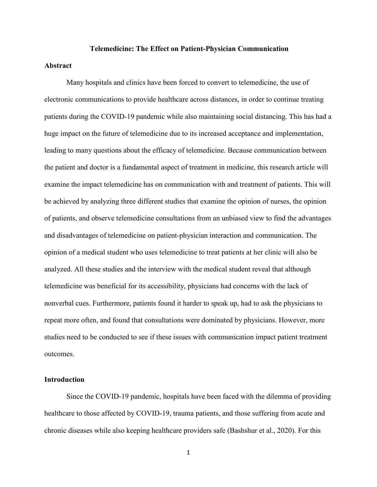#### **Telemedicine: The Effect on Patient-Physician Communication**

# **Abstract**

Many hospitals and clinics have been forced to convert to telemedicine, the use of electronic communications to provide healthcare across distances, in order to continue treating patients during the COVID-19 pandemic while also maintaining social distancing. This has had a huge impact on the future of telemedicine due to its increased acceptance and implementation, leading to many questions about the efficacy of telemedicine. Because communication between the patient and doctor is a fundamental aspect of treatment in medicine, this research article will examine the impact telemedicine has on communication with and treatment of patients. This will be achieved by analyzing three different studies that examine the opinion of nurses, the opinion of patients, and observe telemedicine consultations from an unbiased view to find the advantages and disadvantages of telemedicine on patient-physician interaction and communication. The opinion of a medical student who uses telemedicine to treat patients at her clinic will also be analyzed. All these studies and the interview with the medical student reveal that although telemedicine was beneficial for its accessibility, physicians had concerns with the lack of nonverbal cues. Furthermore, patients found it harder to speak up, had to ask the physicians to repeat more often, and found that consultations were dominated by physicians. However, more studies need to be conducted to see if these issues with communication impact patient treatment outcomes.

# **Introduction**

Since the COVID-19 pandemic, hospitals have been faced with the dilemma of providing healthcare to those affected by COVID-19, trauma patients, and those suffering from acute and chronic diseases while also keeping healthcare providers safe (Bashshur et al., 2020). For this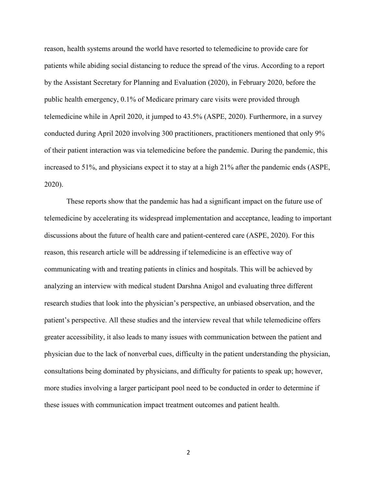reason, health systems around the world have resorted to telemedicine to provide care for patients while abiding social distancing to reduce the spread of the virus. According to a report by the Assistant Secretary for Planning and Evaluation (2020), in February 2020, before the public health emergency, 0.1% of Medicare primary care visits were provided through telemedicine while in April 2020, it jumped to 43.5% (ASPE, 2020). Furthermore, in a survey conducted during April 2020 involving 300 practitioners, practitioners mentioned that only 9% of their patient interaction was via telemedicine before the pandemic. During the pandemic, this increased to 51%, and physicians expect it to stay at a high 21% after the pandemic ends (ASPE, 2020).

These reports show that the pandemic has had a significant impact on the future use of telemedicine by accelerating its widespread implementation and acceptance, leading to important discussions about the future of health care and patient-centered care (ASPE, 2020). For this reason, this research article will be addressing if telemedicine is an effective way of communicating with and treating patients in clinics and hospitals. This will be achieved by analyzing an interview with medical student Darshna Anigol and evaluating three different research studies that look into the physician's perspective, an unbiased observation, and the patient's perspective. All these studies and the interview reveal that while telemedicine offers greater accessibility, it also leads to many issues with communication between the patient and physician due to the lack of nonverbal cues, difficulty in the patient understanding the physician, consultations being dominated by physicians, and difficulty for patients to speak up; however, more studies involving a larger participant pool need to be conducted in order to determine if these issues with communication impact treatment outcomes and patient health.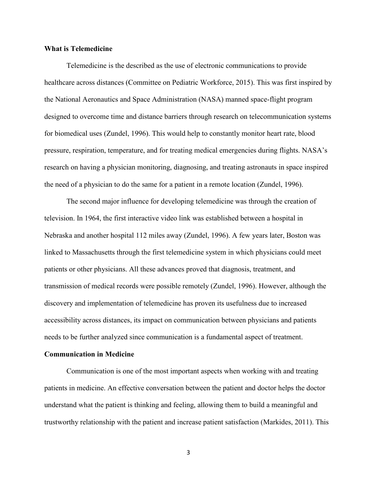## **What is Telemedicine**

Telemedicine is the described as the use of electronic communications to provide healthcare across distances (Committee on Pediatric Workforce, 2015). This was first inspired by the National Aeronautics and Space Administration (NASA) manned space-flight program designed to overcome time and distance barriers through research on telecommunication systems for biomedical uses (Zundel, 1996). This would help to constantly monitor heart rate, blood pressure, respiration, temperature, and for treating medical emergencies during flights. NASA's research on having a physician monitoring, diagnosing, and treating astronauts in space inspired the need of a physician to do the same for a patient in a remote location (Zundel, 1996).

The second major influence for developing telemedicine was through the creation of television. In 1964, the first interactive video link was established between a hospital in Nebraska and another hospital 112 miles away (Zundel, 1996). A few years later, Boston was linked to Massachusetts through the first telemedicine system in which physicians could meet patients or other physicians. All these advances proved that diagnosis, treatment, and transmission of medical records were possible remotely (Zundel, 1996). However, although the discovery and implementation of telemedicine has proven its usefulness due to increased accessibility across distances, its impact on communication between physicians and patients needs to be further analyzed since communication is a fundamental aspect of treatment.

#### **Communication in Medicine**

Communication is one of the most important aspects when working with and treating patients in medicine. An effective conversation between the patient and doctor helps the doctor understand what the patient is thinking and feeling, allowing them to build a meaningful and trustworthy relationship with the patient and increase patient satisfaction (Markides, 2011). This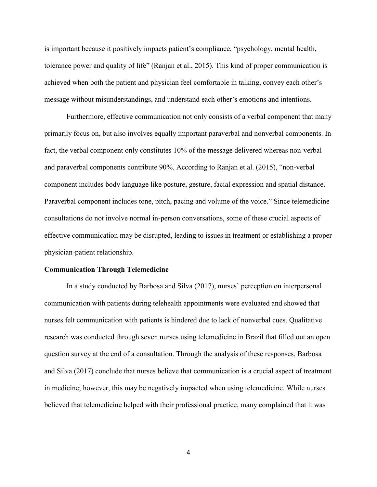is important because it positively impacts patient's compliance, "psychology, mental health, tolerance power and quality of life" (Ranjan et al., 2015). This kind of proper communication is achieved when both the patient and physician feel comfortable in talking, convey each other's message without misunderstandings, and understand each other's emotions and intentions.

Furthermore, effective communication not only consists of a verbal component that many primarily focus on, but also involves equally important paraverbal and nonverbal components. In fact, the verbal component only constitutes 10% of the message delivered whereas non-verbal and paraverbal components contribute 90%. According to Ranjan et al. (2015), "non-verbal component includes body language like posture, gesture, facial expression and spatial distance. Paraverbal component includes tone, pitch, pacing and volume of the voice." Since telemedicine consultations do not involve normal in-person conversations, some of these crucial aspects of effective communication may be disrupted, leading to issues in treatment or establishing a proper physician-patient relationship.

#### **Communication Through Telemedicine**

In a study conducted by Barbosa and Silva (2017), nurses' perception on interpersonal communication with patients during telehealth appointments were evaluated and showed that nurses felt communication with patients is hindered due to lack of nonverbal cues. Qualitative research was conducted through seven nurses using telemedicine in Brazil that filled out an open question survey at the end of a consultation. Through the analysis of these responses, Barbosa and Silva (2017) conclude that nurses believe that communication is a crucial aspect of treatment in medicine; however, this may be negatively impacted when using telemedicine. While nurses believed that telemedicine helped with their professional practice, many complained that it was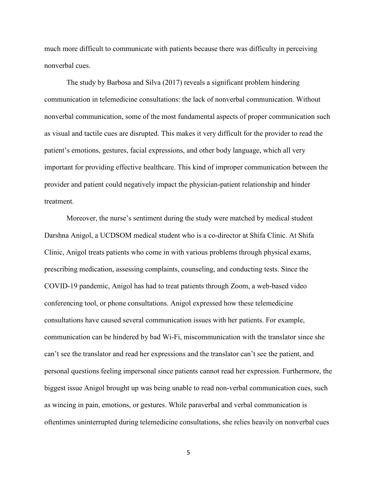much more difficult to communicate with patients because there was difficulty in perceiving nonverbal cues.

The study by Barbosa and Silva (2017) reveals a significant problem hindering communication in telemedicine consultations: the lack of nonverbal communication. Without nonverbal communication, some of the most fundamental aspects of proper communication such as visual and tactile cues are disrupted. This makes it very difficult for the provider to read the patient's emotions, gestures, facial expressions, and other body language, which all very important for providing effective healthcare. This kind of improper communication between the provider and patient could negatively impact the physician-patient relationship and hinder treatment.

Moreover, the nurse's sentiment during the study were matched by medical student Darshna Anigol, a UCDSOM medical student who is a co-director at Shifa Clinic. At Shifa Clinic, Anigol treats patients who come in with various problems through physical exams, prescribing medication, assessing complaints, counseling, and conducting tests. Since the COVID-19 pandemic, Anigol has had to treat patients through Zoom, a web-based video conferencing tool, or phone consultations. Anigol expressed how these telemedicine consultations have caused several communication issues with her patients. For example, communication can be hindered by bad Wi-Fi, miscommunication with the translator since she can't see the translator and read her expressions and the translator can't see the patient, and personal questions feeling impersonal since patients cannot read her expression. Furthermore, the biggest issue Anigol brought up was being unable to read non-verbal communication cues, such as wincing in pain, emotions, or gestures. While paraverbal and verbal communication is oftentimes uninterrupted during telemedicine consultations, she relies heavily on nonverbal cues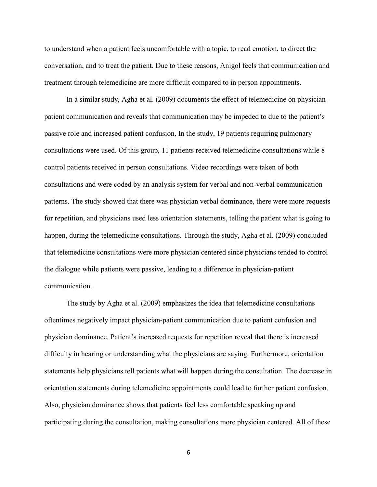to understand when a patient feels uncomfortable with a topic, to read emotion, to direct the conversation, and to treat the patient. Due to these reasons, Anigol feels that communication and treatment through telemedicine are more difficult compared to in person appointments.

In a similar study, Agha et al. (2009) documents the effect of telemedicine on physicianpatient communication and reveals that communication may be impeded to due to the patient's passive role and increased patient confusion. In the study, 19 patients requiring pulmonary consultations were used. Of this group, 11 patients received telemedicine consultations while 8 control patients received in person consultations. Video recordings were taken of both consultations and were coded by an analysis system for verbal and non-verbal communication patterns. The study showed that there was physician verbal dominance, there were more requests for repetition, and physicians used less orientation statements, telling the patient what is going to happen, during the telemedicine consultations. Through the study, Agha et al. (2009) concluded that telemedicine consultations were more physician centered since physicians tended to control the dialogue while patients were passive, leading to a difference in physician-patient communication.

The study by Agha et al. (2009) emphasizes the idea that telemedicine consultations oftentimes negatively impact physician-patient communication due to patient confusion and physician dominance. Patient's increased requests for repetition reveal that there is increased difficulty in hearing or understanding what the physicians are saying. Furthermore, orientation statements help physicians tell patients what will happen during the consultation. The decrease in orientation statements during telemedicine appointments could lead to further patient confusion. Also, physician dominance shows that patients feel less comfortable speaking up and participating during the consultation, making consultations more physician centered. All of these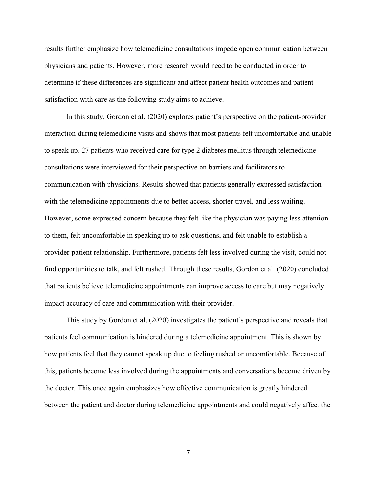results further emphasize how telemedicine consultations impede open communication between physicians and patients. However, more research would need to be conducted in order to determine if these differences are significant and affect patient health outcomes and patient satisfaction with care as the following study aims to achieve.

In this study, Gordon et al. (2020) explores patient's perspective on the patient-provider interaction during telemedicine visits and shows that most patients felt uncomfortable and unable to speak up. 27 patients who received care for type 2 diabetes mellitus through telemedicine consultations were interviewed for their perspective on barriers and facilitators to communication with physicians. Results showed that patients generally expressed satisfaction with the telemedicine appointments due to better access, shorter travel, and less waiting. However, some expressed concern because they felt like the physician was paying less attention to them, felt uncomfortable in speaking up to ask questions, and felt unable to establish a provider-patient relationship. Furthermore, patients felt less involved during the visit, could not find opportunities to talk, and felt rushed. Through these results, Gordon et al. (2020) concluded that patients believe telemedicine appointments can improve access to care but may negatively impact accuracy of care and communication with their provider.

This study by Gordon et al. (2020) investigates the patient's perspective and reveals that patients feel communication is hindered during a telemedicine appointment. This is shown by how patients feel that they cannot speak up due to feeling rushed or uncomfortable. Because of this, patients become less involved during the appointments and conversations become driven by the doctor. This once again emphasizes how effective communication is greatly hindered between the patient and doctor during telemedicine appointments and could negatively affect the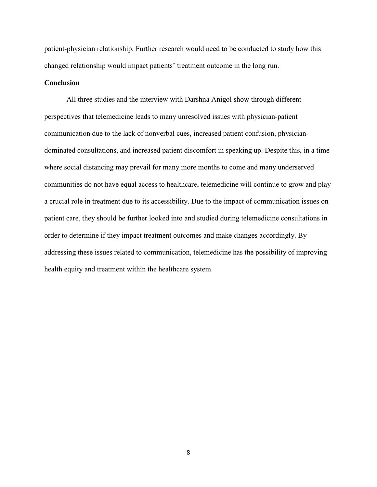patient-physician relationship. Further research would need to be conducted to study how this changed relationship would impact patients' treatment outcome in the long run.

# **Conclusion**

All three studies and the interview with Darshna Anigol show through different perspectives that telemedicine leads to many unresolved issues with physician-patient communication due to the lack of nonverbal cues, increased patient confusion, physiciandominated consultations, and increased patient discomfort in speaking up. Despite this, in a time where social distancing may prevail for many more months to come and many underserved communities do not have equal access to healthcare, telemedicine will continue to grow and play a crucial role in treatment due to its accessibility. Due to the impact of communication issues on patient care, they should be further looked into and studied during telemedicine consultations in order to determine if they impact treatment outcomes and make changes accordingly. By addressing these issues related to communication, telemedicine has the possibility of improving health equity and treatment within the healthcare system.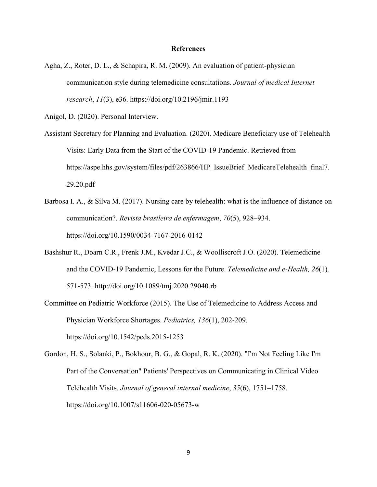### **References**

Agha, Z., Roter, D. L., & Schapira, R. M. (2009). An evaluation of patient-physician communication style during telemedicine consultations. *Journal of medical Internet research*, *11*(3), e36. https://doi.org/10.2196/jmir.1193

Anigol, D. (2020). Personal Interview.

- Assistant Secretary for Planning and Evaluation. (2020). Medicare Beneficiary use of Telehealth Visits: Early Data from the Start of the COVID-19 Pandemic. Retrieved from https://aspe.hhs.gov/system/files/pdf/263866/HP\_IssueBrief\_MedicareTelehealth\_final7. 29.20.pdf
- Barbosa I. A., & Silva M. (2017). Nursing care by telehealth: what is the influence of distance on communication?. *Revista brasileira de enfermagem*, *70*(5), 928–934. https://doi.org/10.1590/0034-7167-2016-0142
- Bashshur R., Doarn C.R., Frenk J.M., Kvedar J.C., & Woolliscroft J.O. (2020). Telemedicine and the COVID-19 Pandemic, Lessons for the Future. *Telemedicine and e-Health, 26*(1)*,*  571-573. http://doi.org/10.1089/tmj.2020.29040.rb
- Committee on Pediatric Workforce (2015). The Use of Telemedicine to Address Access and Physician Workforce Shortages. *Pediatrics, 136*(1), 202-209. https://doi.org/10.1542/peds.2015-1253
- Gordon, H. S., Solanki, P., Bokhour, B. G., & Gopal, R. K. (2020). "I'm Not Feeling Like I'm Part of the Conversation" Patients' Perspectives on Communicating in Clinical Video Telehealth Visits. *Journal of general internal medicine*, *35*(6), 1751–1758. https://doi.org/10.1007/s11606-020-05673-w